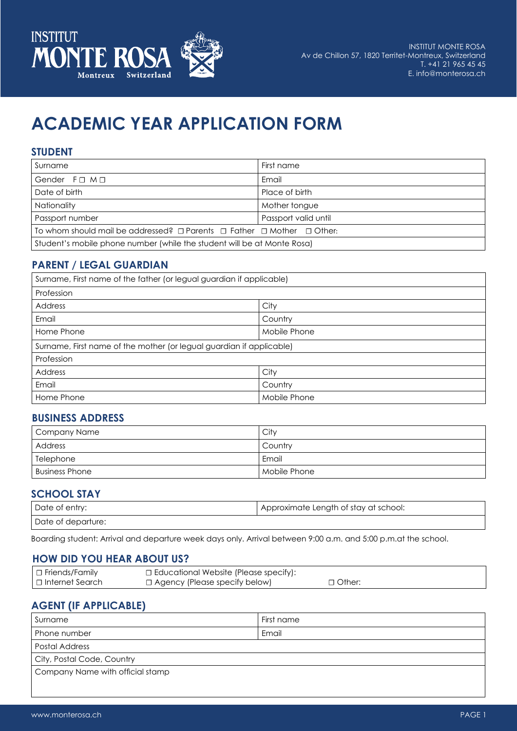

# **ACADEMIC YEAR APPLICATION FORM**

#### **STUDENT**

| Surname                                                                                    | First name     |  |
|--------------------------------------------------------------------------------------------|----------------|--|
| Gender $F \square M \square$                                                               | Email          |  |
| Date of birth                                                                              | Place of birth |  |
| Nationality                                                                                | Mother tongue  |  |
| Passport number<br>Passport valid until                                                    |                |  |
| To whom should mail be addressed? $\Box$ Parents $\Box$ Father $\Box$ Mother $\Box$ Other: |                |  |
| Student's mobile phone number (while the student will be at Monte Rosa)                    |                |  |

## **PARENT / LEGAL GUARDIAN**

| Surname, First name of the father (or legual guardian if applicable) |              |  |
|----------------------------------------------------------------------|--------------|--|
| Profession                                                           |              |  |
| City<br><b>Address</b>                                               |              |  |
| Email<br>Country                                                     |              |  |
| Home Phone                                                           | Mobile Phone |  |
| Surname, First name of the mother (or legual guardian if applicable) |              |  |
| Profession                                                           |              |  |
| <b>Address</b>                                                       | City         |  |
| Email<br>Country                                                     |              |  |
| Home Phone<br>Mobile Phone                                           |              |  |

#### **BUSINESS ADDRESS**

| Company Name     | Citv                      |
|------------------|---------------------------|
| Address          | Country                   |
| Telephone        | Email                     |
| Business Phone ' | <sup>1</sup> Mobile Phone |

#### **SCHOOL STAY**

| Date of entry:     | l Approximate Length of stay at school: |
|--------------------|-----------------------------------------|
| Date of departure: |                                         |

Boarding student: Arrival and departure week days only. Arrival between 9:00 a.m. and 5:00 p.m.at the school.

#### **HOW DID YOU HEAR ABOUT US?**

| $\Box$ Friends/Family | □ Educational Website (Please specify): |               |
|-----------------------|-----------------------------------------|---------------|
| □ Internet Search     | $\Box$ Agency (Please specify below)    | $\Box$ Other: |

# **AGENT (IF APPLICABLE)**

| Surname                          | First name |  |
|----------------------------------|------------|--|
| Phone number                     | Email      |  |
| Postal Address                   |            |  |
| City, Postal Code, Country       |            |  |
| Company Name with official stamp |            |  |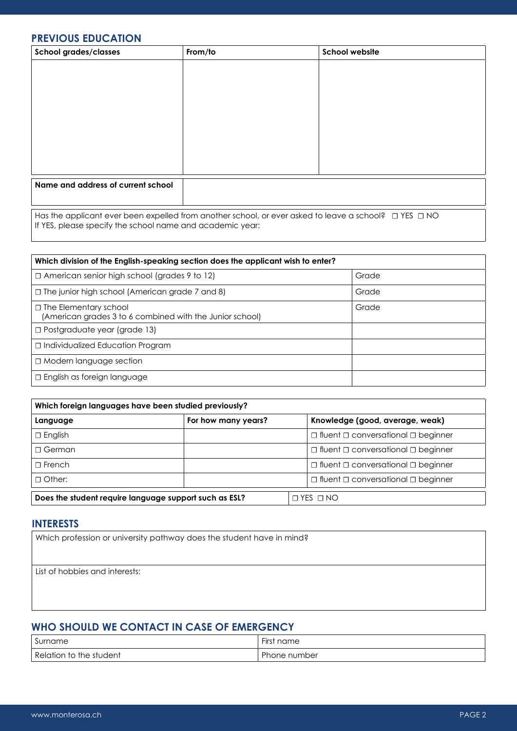## **PREVIOUS EDUCATION**

| <b>School grades/classes</b>                              | From/to | <b>School website</b>                                                                                           |  |
|-----------------------------------------------------------|---------|-----------------------------------------------------------------------------------------------------------------|--|
|                                                           |         |                                                                                                                 |  |
|                                                           |         |                                                                                                                 |  |
|                                                           |         |                                                                                                                 |  |
|                                                           |         |                                                                                                                 |  |
|                                                           |         |                                                                                                                 |  |
|                                                           |         |                                                                                                                 |  |
|                                                           |         |                                                                                                                 |  |
|                                                           |         |                                                                                                                 |  |
| Name and address of current school                        |         |                                                                                                                 |  |
|                                                           |         |                                                                                                                 |  |
| If YES, please specify the school name and academic year: |         | Has the applicant ever been expelled from another school, or ever asked to leave a school? $\Box$ YES $\Box$ NO |  |

| Which division of the English-speaking section does the applicant wish to enter?         |       |  |
|------------------------------------------------------------------------------------------|-------|--|
| $\Box$ American senior high school (grades 9 to 12)                                      | Grade |  |
| $\Box$ The junior high school (American grade 7 and 8)                                   | Grade |  |
| $\Box$ The Elementary school<br>(American grades 3 to 6 combined with the Junior school) | Grade |  |
| □ Postgraduate year (grade 13)                                                           |       |  |
| □ Individualized Education Program                                                       |       |  |
| □ Modern language section                                                                |       |  |
| $\Box$ English as foreign language                                                       |       |  |

| Which foreign languages have been studied previously?  |                     |                                                     |
|--------------------------------------------------------|---------------------|-----------------------------------------------------|
| Language                                               | For how many years? | Knowledge (good, average, weak)                     |
| $\Box$ English                                         |                     | $\Box$ fluent $\Box$ conversational $\Box$ beginner |
| $\sqcap$ German                                        |                     | $\Box$ fluent $\Box$ conversational $\Box$ beginner |
| $\Box$ French                                          |                     | $\Box$ fluent $\Box$ conversational $\Box$ beginner |
| $\Box$ Other:                                          |                     | $\Box$ fluent $\Box$ conversational $\Box$ beginner |
| Does the student require language support such as ESL? |                     | $\Box$ YES $\Box$ NO                                |

## **INTERESTS**

List of hobbies and interests:

# **WHO SHOULD WE CONTACT IN CASE OF EMERGENCY**

| Surname                 | $- \cdot$<br><b>First</b><br>name |
|-------------------------|-----------------------------------|
| Relation to the student | Phone number                      |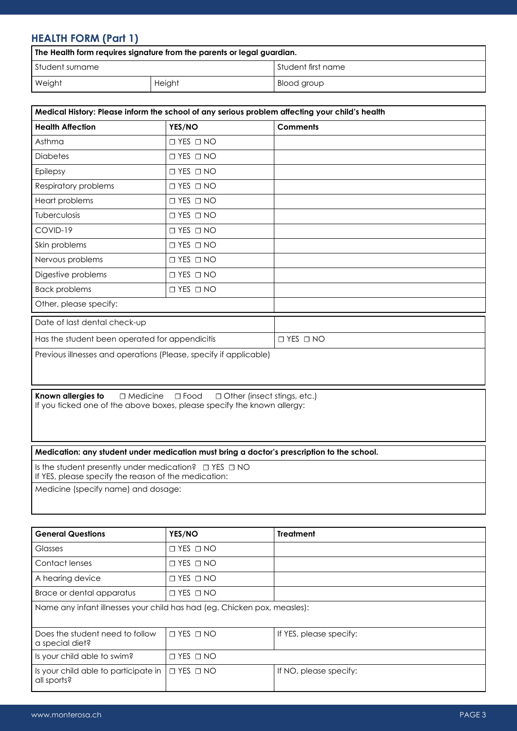# **HEALTH FORM (Part 1)**

| The Health form requires signature from the parents or legal guardian. |        |                      |
|------------------------------------------------------------------------|--------|----------------------|
| <b>S</b> tudent surname                                                |        | ' Student first name |
| Weight                                                                 | Height | Blood group          |

| Medical History: Please inform the school of any serious problem affecting your child's health |                      |                      |  |  |
|------------------------------------------------------------------------------------------------|----------------------|----------------------|--|--|
| <b>Health Affection</b>                                                                        | YES/NO               | <b>Comments</b>      |  |  |
| Asthma                                                                                         | $\Box$ YES $\Box$ NO |                      |  |  |
| <b>Diabetes</b>                                                                                | $\Box$ YES $\Box$ NO |                      |  |  |
| Epilepsy                                                                                       | $\Box$ YES $\Box$ NO |                      |  |  |
| Respiratory problems                                                                           | $\Box$ YES $\Box$ NO |                      |  |  |
| Heart problems                                                                                 | $\Box$ YES $\Box$ NO |                      |  |  |
| <b>Tuberculosis</b>                                                                            | $\Box$ YES $\Box$ NO |                      |  |  |
| COVID-19                                                                                       | $\Box$ YES $\Box$ NO |                      |  |  |
| Skin problems                                                                                  | $\Box$ YES $\Box$ NO |                      |  |  |
| Nervous problems                                                                               | $\Box$ YES $\Box$ NO |                      |  |  |
| Digestive problems                                                                             | $\Box$ YES $\Box$ NO |                      |  |  |
| <b>Back problems</b>                                                                           | $\Box$ YES $\Box$ NO |                      |  |  |
| Other, please specify:                                                                         |                      |                      |  |  |
| Date of last dental check-up                                                                   |                      |                      |  |  |
| Has the student been operated for appendicitis                                                 |                      | $\Box$ YES $\Box$ NO |  |  |
| Previous illnesses and operations (Please, specify if applicable)                              |                      |                      |  |  |

**Known allergies to**  $□$  Medicine  $□$  Food  $□$  Other (insect stings, etc.) If you ticked one of the above boxes, please specify the known allergy:

#### **Medication: any student under medication must bring a doctor's prescription to the school.**

Is the student presently under medication? ☐ YES ☐ NO If YES, please specify the reason of the medication:

Medicine (specify name) and dosage:

| <b>General Questions</b>                                                 | YES/NO               | <b>Treatment</b>        |  |  |  |
|--------------------------------------------------------------------------|----------------------|-------------------------|--|--|--|
| Glasses                                                                  | $\Box$ YES $\Box$ NO |                         |  |  |  |
| Contact lenses                                                           | $\Box$ YES $\Box$ NO |                         |  |  |  |
| A hearing device                                                         | $\Box$ YES $\Box$ NO |                         |  |  |  |
| Brace or dental apparatus                                                | $\Box$ YES $\Box$ NO |                         |  |  |  |
| Name any infant illnesses your child has had (eg. Chicken pox, measles): |                      |                         |  |  |  |
| Does the student need to follow<br>a special diet?                       | $\Box$ YES $\Box$ NO | If YES, please specify: |  |  |  |
| Is your child able to swim?                                              | $\Box$ YES $\Box$ NO |                         |  |  |  |
| Is your child able to participate in<br>all sports?                      | $\Box$ YES $\Box$ NO | If NO, please specify:  |  |  |  |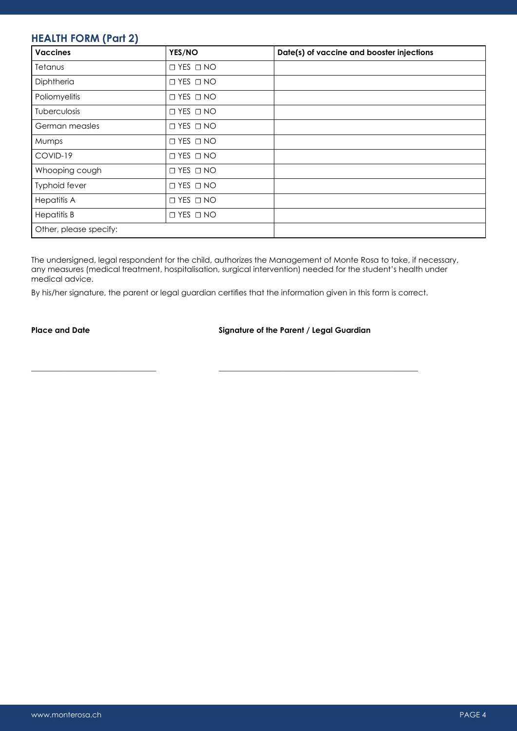# **HEALTH FORM (Part 2)**

| <b>Vaccines</b>        | YES/NO               | Date(s) of vaccine and booster injections |
|------------------------|----------------------|-------------------------------------------|
| Tetanus                | $\Box$ YES $\Box$ NO |                                           |
| Diphtheria             | $\Box$ YES $\Box$ NO |                                           |
| Poliomyelitis          | $\Box$ YES $\Box$ NO |                                           |
| <b>Tuberculosis</b>    | $\Box$ YES $\Box$ NO |                                           |
| German measles         | $\Box$ YES $\Box$ NO |                                           |
| Mumps                  | $\Box$ YES $\Box$ NO |                                           |
| COVID-19               | $\Box$ YES $\Box$ NO |                                           |
| Whooping cough         | $\Box$ YES $\Box$ NO |                                           |
| Typhoid fever          | $\Box$ YES $\Box$ NO |                                           |
| <b>Hepatitis A</b>     | $\Box$ YES $\Box$ NO |                                           |
| <b>Hepatitis B</b>     | $\Box$ YES $\Box$ NO |                                           |
| Other, please specify: |                      |                                           |

The undersigned, legal respondent for the child, authorizes the Management of Monte Rosa to take, if necessary, any measures (medical treatment, hospitalisation, surgical intervention) needed for the student's health under medical advice.

By his/her signature, the parent or legal guardian certifies that the information given in this form is correct.

**\_\_\_\_\_\_\_\_\_\_\_\_\_\_\_\_\_\_\_\_\_\_\_\_\_\_\_\_\_\_\_\_ \_\_\_\_\_\_\_\_\_\_\_\_\_\_\_\_\_\_\_\_\_\_\_\_\_\_\_\_\_\_\_\_\_\_\_\_\_\_\_\_\_\_\_\_\_\_\_\_\_\_\_**

#### Place and Date **Signature of the Parent / Legal Guardian**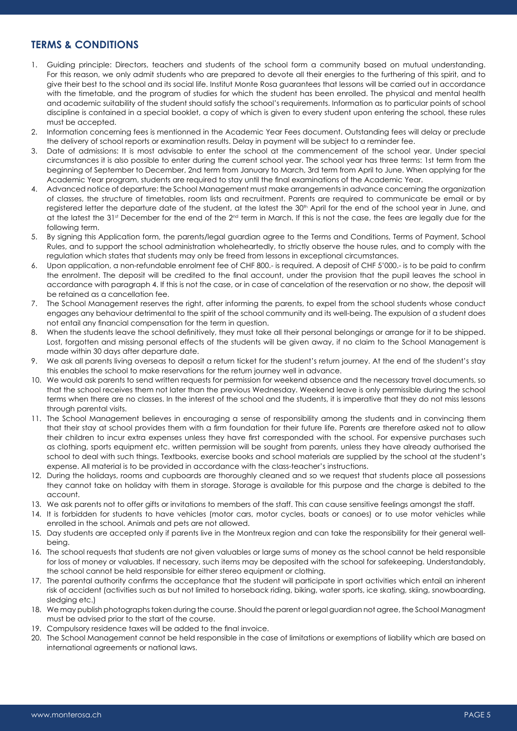## **TERMS & CONDITIONS**

- 1. Guiding principle: Directors, teachers and students of the school form a community based on mutual understanding. For this reason, we only admit students who are prepared to devote all their energies to the furthering of this spirit, and to give their best to the school and its social life. Institut Monte Rosa guarantees that lessons will be carried out in accordance with the timetable, and the program of studies for which the student has been enrolled. The physical and mental health and academic suitability of the student should satisfy the school's requirements. Information as to particular points of school discipline is contained in a special booklet, a copy of which is given to every student upon entering the school, these rules must be accepted.
- 2. Information concerning fees is mentionned in the Academic Year Fees document. Outstanding fees will delay or preclude the delivery of school reports or examination results. Delay in payment will be subject to a reminder fee.
- 3. Date of admissions: It is most advisable to enter the school at the commencement of the school year. Under special circumstances it is also possible to enter during the current school year. The school year has three terms: 1st term from the beginning of September to December, 2nd term from January to March, 3rd term from April to June. When applying for the Academic Year program, students are required to stay until the final examinations of the Academic Year.
- 4. Advanced notice of departure: the School Management must make arrangements in advance concerning the organization of classes, the structure of timetables, room lists and recruitment. Parents are required to communicate be email or by registered letter the departure date of the student, at the latest the 30<sup>th</sup> April for the end of the school year in June, and at the latest the 31<sup>st</sup> December for the end of the  $2^{nd}$  term in March. If this is not the case, the fees are legally due for the following term.
- 5. By signing this Application form, the parents/legal guardian agree to the Terms and Conditions, Terms of Payment, School Rules, and to support the school administration wholeheartedly, to strictly observe the house rules, and to comply with the regulation which states that students may only be freed from lessons in exceptional circumstances.
- 6. Upon application, a non-refundable enrolment fee of CHF 800.- is required. A deposit of CHF 5'000.- is to be paid to confirm the enrolment. The deposit will be credited to the final account, under the provision that the pupil leaves the school in accordance with paragraph 4. If this is not the case, or in case of cancelation of the reservation or no show, the deposit will be retained as a cancellation fee.
- 7. The School Management reserves the right, after informing the parents, to expel from the school students whose conduct engages any behaviour detrimental to the spirit of the school community and its well-being. The expulsion of a student does not entail any financial compensation for the term in question.
- 8. When the students leave the school definitively, they must take all their personal belongings or arrange for it to be shipped. Lost, forgotten and missing personal effects of the students will be given away, if no claim to the School Management is made within 30 days after departure date.
- 9. We ask all parents living overseas to deposit a return ticket for the student's return journey. At the end of the student's stay this enables the school to make reservations for the return journey well in advance.
- 10. We would ask parents to send written requests for permission for weekend absence and the necessary travel documents, so that the school receives them not later than the previous Wednesday. Weekend leave is only permissible during the school terms when there are no classes. In the interest of the school and the students, it is imperative that they do not miss lessons through parental visits.
- 11. The School Management believes in encouraging a sense of responsibility among the students and in convincing them that their stay at school provides them with a firm foundation for their future life. Parents are therefore asked not to allow their children to incur extra expenses unless they have first corresponded with the school. For expensive purchases such as clothing, sports equipment etc. written permission will be sought from parents, unless they have already authorised the school to deal with such things. Textbooks, exercise books and school materials are supplied by the school at the student's expense. All material is to be provided in accordance with the class-teacher's instructions.
- 12. During the holidays, rooms and cupboards are thoroughly cleaned and so we request that students place all possessions they cannot take on holiday with them in storage. Storage is available for this purpose and the charge is debited to the account.
- 13. We ask parents not to offer gifts or invitations to members of the staff. This can cause sensitive feelings amongst the staff.
- 14. It is forbidden for students to have vehicles (motor cars, motor cycles, boats or canoes) or to use motor vehicles while enrolled in the school. Animals and pets are not allowed.
- 15. Day students are accepted only if parents live in the Montreux region and can take the responsibility for their general wellbeing.
- 16. The school requests that students are not given valuables or large sums of money as the school cannot be held responsible for loss of money or valuables. If necessary, such items may be deposited with the school for safekeeping. Understandably, the school cannot be held responsible for either stereo equipment or clothing.
- 17. The parental authority confirms the acceptance that the student will participate in sport activities which entail an inherent risk of accident (activities such as but not limited to horseback riding, biking, water sports, ice skating, skiing, snowboarding, sledging etc.)
- 18. We may publish photographs taken during the course. Should the parent or legal guardian not agree, the School Managment must be advised prior to the start of the course.
- 19. Compulsory residence taxes will be added to the final invoice.
- 20. The School Management cannot be held responsible in the case of limitations or exemptions of liability which are based on international agreements or national laws.